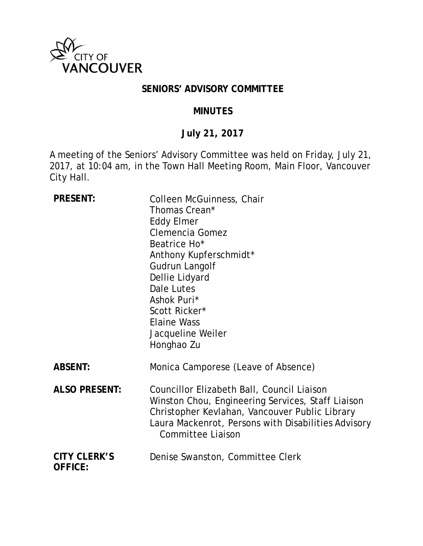

## **SENIORS' ADVISORY COMMITTEE**

## **MINUTES**

# **July 21, 2017**

A meeting of the Seniors' Advisory Committee was held on Friday, July 21, 2017, at 10:04 am, in the Town Hall Meeting Room, Main Floor, Vancouver City Hall.

| <b>PRESENT:</b>                       | Colleen McGuinness, Chair<br>Thomas Crean*<br><b>Eddy Elmer</b><br><b>Clemencia Gomez</b><br>Beatrice Ho*<br>Anthony Kupferschmidt*<br>Gudrun Langolf<br>Dellie Lidyard<br>Dale Lutes<br>Ashok Puri*<br>Scott Ricker*<br><b>Elaine Wass</b><br>Jacqueline Weiler<br>Honghao Zu |
|---------------------------------------|--------------------------------------------------------------------------------------------------------------------------------------------------------------------------------------------------------------------------------------------------------------------------------|
| <b>ABSENT:</b>                        | Monica Camporese (Leave of Absence)                                                                                                                                                                                                                                            |
| <b>ALSO PRESENT:</b>                  | Councillor Elizabeth Ball, Council Liaison<br>Winston Chou, Engineering Services, Staff Liaison<br>Christopher Kevlahan, Vancouver Public Library<br>Laura Mackenrot, Persons with Disabilities Advisory<br><b>Committee Liaison</b>                                           |
| <b>CITY CLERK'S</b><br><b>OFFICE:</b> | Denise Swanston, Committee Clerk                                                                                                                                                                                                                                               |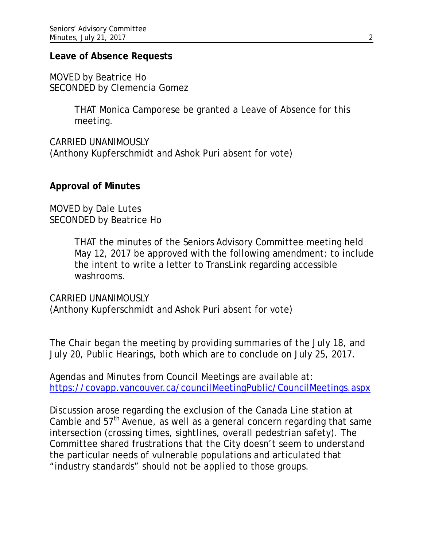#### **Leave of Absence Requests**

MOVED by Beatrice Ho SECONDED by Clemencia Gomez

> THAT Monica Camporese be granted a Leave of Absence for this meeting.

CARRIED UNANIMOUSLY (Anthony Kupferschmidt and Ashok Puri absent for vote)

### **Approval of Minutes**

MOVED by Dale Lutes SECONDED by Beatrice Ho

> THAT the minutes of the Seniors Advisory Committee meeting held May 12, 2017 be approved with the following amendment: to include the intent to write a letter to TransLink regarding accessible washrooms.

CARRIED UNANIMOUSLY (Anthony Kupferschmidt and Ashok Puri absent for vote)

The Chair began the meeting by providing summaries of the July 18, and July 20, Public Hearings, both which are to conclude on July 25, 2017.

Agendas and Minutes from Council Meetings are available at: https://covapp.vancouver.ca/councilMeetingPublic/CouncilMeetings.aspx

Discussion arose regarding the exclusion of the Canada Line station at Cambie and 57<sup>th</sup> Avenue, as well as a general concern regarding that same intersection (crossing times, sightlines, overall pedestrian safety). The Committee shared frustrations that the City doesn't seem to understand the particular needs of vulnerable populations and articulated that "industry standards" should not be applied to those groups.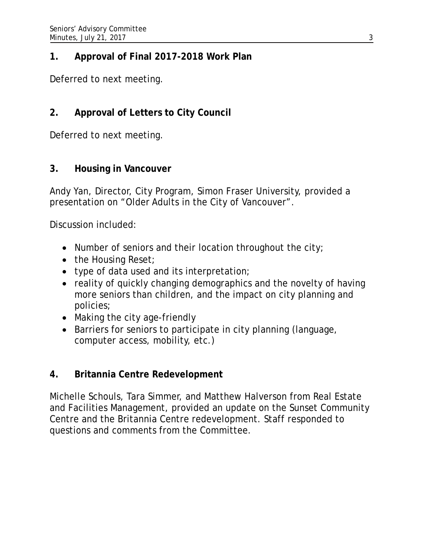## **1. Approval of Final 2017-2018 Work Plan**

Deferred to next meeting.

# **2. Approval of Letters to City Council**

Deferred to next meeting.

## **3. Housing in Vancouver**

Andy Yan, Director, City Program, Simon Fraser University, provided a presentation on "Older Adults in the City of Vancouver".

Discussion included:

- Number of seniors and their location throughout the city;
- the Housing Reset;
- type of data used and its interpretation;
- reality of quickly changing demographics and the novelty of having more seniors than children, and the impact on city planning and policies;
- Making the city age-friendly
- Barriers for seniors to participate in city planning (language, computer access, mobility, etc.)

## **4. Britannia Centre Redevelopment**

Michelle Schouls, Tara Simmer, and Matthew Halverson from Real Estate and Facilities Management, provided an update on the Sunset Community Centre and the Britannia Centre redevelopment. Staff responded to questions and comments from the Committee.